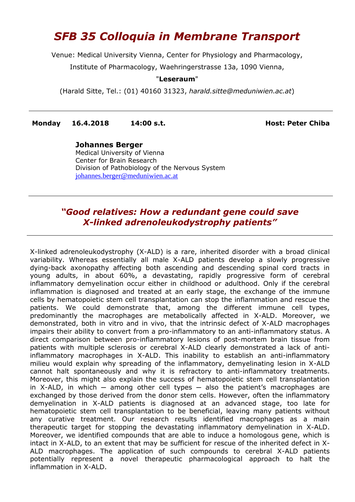## *SFB 35 Colloquia in Membrane Transport*

Venue: Medical University Vienna, Center for Physiology and Pharmacology,

Institute of Pharmacology, Waehringerstrasse 13a, 1090 Vienna,

## "**Leseraum**"

(Harald Sitte, Tel.: (01) 40160 31323, *[harald.sitte@meduniwien.ac.at](mailto:harald.sitte@meduniwien.ac.at)*)

**Monday 16.4.2018 14:00 s.t. Host: Peter Chiba**

**Johannes Berger** Medical University of Vienna Center for Brain Research Division of Pathobiology of the Nervous System [johannes.berger@meduniwien.ac.at](mailto:johannes.berger@meduniwien.ac.at)

## *"Good relatives: How a redundant gene could save X-linked adrenoleukodystrophy patients"*

X-linked adrenoleukodystrophy (X-ALD) is a rare, inherited disorder with a broad clinical variability. Whereas essentially all male X-ALD patients develop a slowly progressive dying-back axonopathy affecting both ascending and descending spinal cord tracts in young adults, in about 60%, a devastating, rapidly progressive form of cerebral inflammatory demyelination occur either in childhood or adulthood. Only if the cerebral inflammation is diagnosed and treated at an early stage, the exchange of the immune cells by hematopoietic stem cell transplantation can stop the inflammation and rescue the patients. We could demonstrate that, among the different immune cell types, predominantly the macrophages are metabolically affected in X-ALD. Moreover, we demonstrated, both in vitro and in vivo, that the intrinsic defect of X-ALD macrophages impairs their ability to convert from a pro-inflammatory to an anti-inflammatory status. A direct comparison between pro-inflammatory lesions of post-mortem brain tissue from patients with multiple sclerosis or cerebral X-ALD clearly demonstrated a lack of antiinflammatory macrophages in X-ALD. This inability to establish an anti-inflammatory milieu would explain why spreading of the inflammatory, demyelinating lesion in X-ALD cannot halt spontaneously and why it is refractory to anti-inflammatory treatments. Moreover, this might also explain the success of hematopoietic stem cell transplantation in X-ALD, in which  $-$  among other cell types  $-$  also the patient's macrophages are exchanged by those derived from the donor stem cells. However, often the inflammatory demyelination in X-ALD patients is diagnosed at an advanced stage, too late for hematopoietic stem cell transplantation to be beneficial, leaving many patients without any curative treatment. Our research results identified macrophages as a main therapeutic target for stopping the devastating inflammatory demyelination in X-ALD. Moreover, we identified compounds that are able to induce a homologous gene, which is intact in X-ALD, to an extent that may be sufficient for rescue of the inherited defect in X-ALD macrophages. The application of such compounds to cerebral X-ALD patients potentially represent a novel therapeutic pharmacological approach to halt the inflammation in X-ALD.